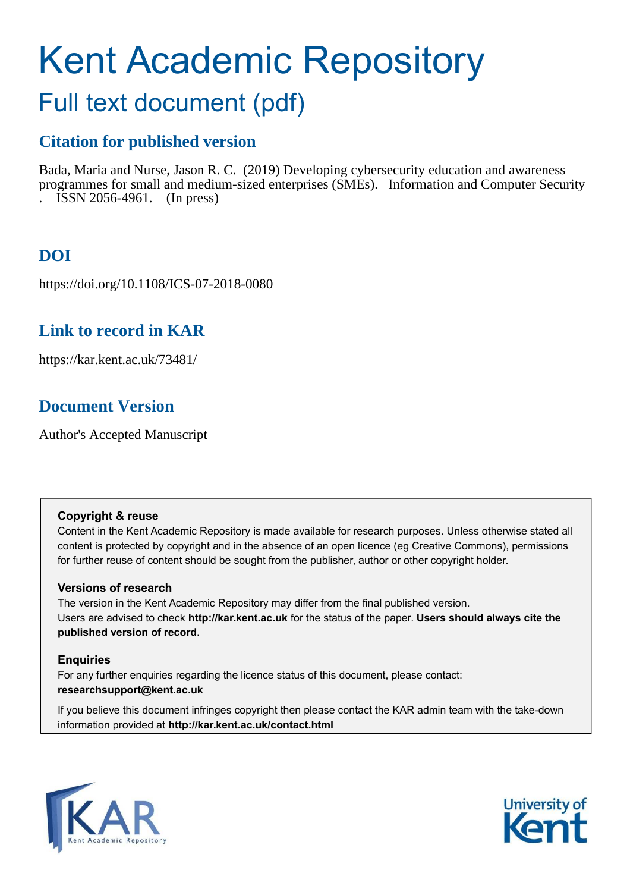# Kent Academic Repository

### Full text document (pdf)

### **Citation for published version**

Bada, Maria and Nurse, Jason R. C. (2019) Developing cybersecurity education and awareness programmes for small and medium-sized enterprises (SMEs). Information and Computer Security . ISSN 2056-4961. (In press)

### **DOI**

https://doi.org/10.1108/ICS-07-2018-0080

### **Link to record in KAR**

https://kar.kent.ac.uk/73481/

### **Document Version**

Author's Accepted Manuscript

#### **Copyright & reuse**

Content in the Kent Academic Repository is made available for research purposes. Unless otherwise stated all content is protected by copyright and in the absence of an open licence (eg Creative Commons), permissions for further reuse of content should be sought from the publisher, author or other copyright holder.

#### **Versions of research**

The version in the Kent Academic Repository may differ from the final published version. Users are advised to check **http://kar.kent.ac.uk** for the status of the paper. **Users should always cite the published version of record.**

#### **Enquiries**

For any further enquiries regarding the licence status of this document, please contact: **researchsupport@kent.ac.uk**

If you believe this document infringes copyright then please contact the KAR admin team with the take-down information provided at **http://kar.kent.ac.uk/contact.html**



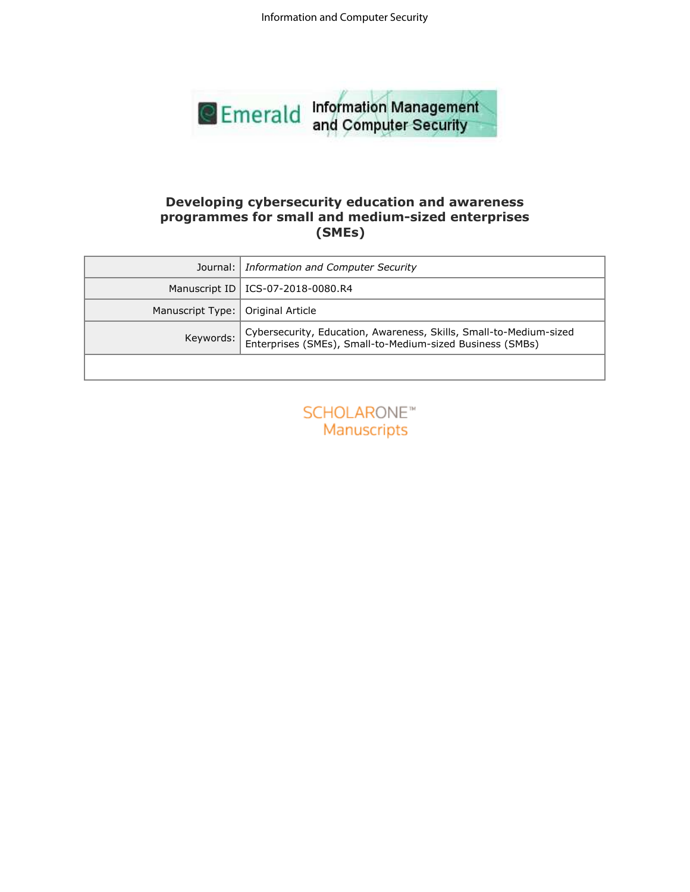Information and Computer Security



#### **Developing cybersecurity education and awareness programmes for small and medium-sized enterprises (SMEs)**

| <b>SENICIAL and Computer Security</b> |                                                                                                                                 |  |  |
|---------------------------------------|---------------------------------------------------------------------------------------------------------------------------------|--|--|
|                                       |                                                                                                                                 |  |  |
|                                       | Developing cybersecurity education and awareness<br>programmes for small and medium-sized enterprises<br>(SMEs)                 |  |  |
| Journal:                              | <b>Information and Computer Security</b>                                                                                        |  |  |
| Manuscript ID                         | ICS-07-2018-0080.R4                                                                                                             |  |  |
| Manuscript Type:                      | Original Article                                                                                                                |  |  |
| Keywords:                             | Cybersecurity, Education, Awareness, Skills, Small-to-Medium-sized<br>Enterprises (SMEs), Small-to-Medium-sized Business (SMBs) |  |  |
|                                       |                                                                                                                                 |  |  |
|                                       | <b>SCHOLARONE™</b><br>Manuscripts                                                                                               |  |  |

| <b>SCHOLARONE™</b> |                    |  |  |
|--------------------|--------------------|--|--|
|                    | <b>Manuscripts</b> |  |  |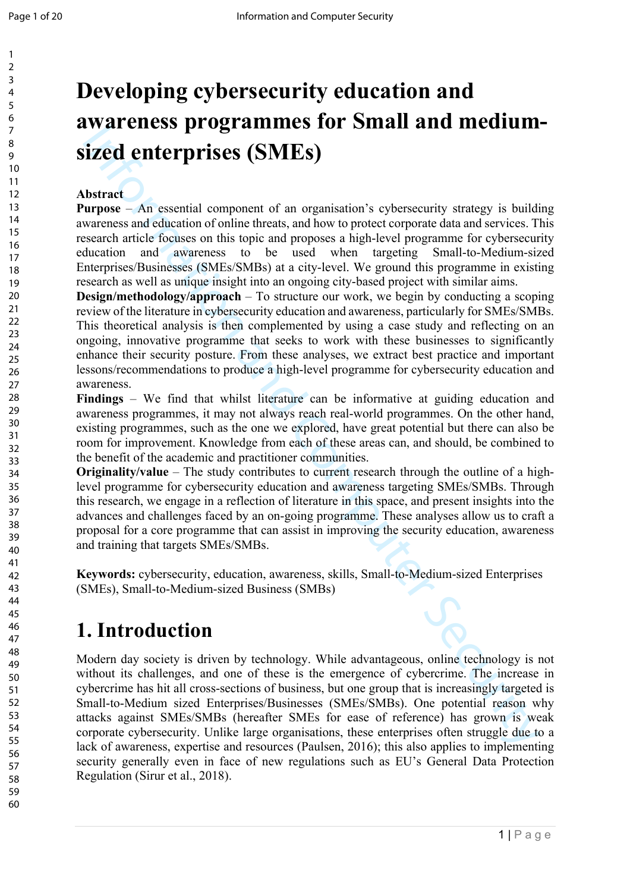## **Developing cybersecurity education and awareness programmes for Small and mediumsized enterprises (SMEs)**

#### **Abstract**

**Purpose** – An essential component of an organisation's cybersecurity strategy is building awareness and education of online threats, and how to protect corporate data and services. This research article focuses on this topic and proposes a high-level programme for cybersecurity education and awareness to be used when targeting Small-to-Medium-sized Enterprises/Businesses (SMEs/SMBs) at a city-level. We ground this programme in existing research as well as unique insight into an ongoing city-based project with similar aims.

**Design/methodology/approach** – To structure our work, we begin by conducting a scoping review of the literature in cybersecurity education and awareness, particularly for SMEs/SMBs. This theoretical analysis is then complemented by using a case study and reflecting on an ongoing, innovative programme that seeks to work with these businesses to significantly enhance their security posture. From these analyses, we extract best practice and important lessons/recommendations to produce a high-level programme for cybersecurity education and awareness.

**Findings** – We find that whilst literature can be informative at guiding education and awareness programmes, it may not always reach real-world programmes. On the other hand, existing programmes, such as the one we explored, have great potential but there can also be room for improvement. Knowledge from each of these areas can, and should, be combined to the benefit of the academic and practitioner communities.

**Originality/value** – The study contributes to current research through the outline of a highlevel programme for cybersecurity education and awareness targeting SMEs/SMBs. Through this research, we engage in a reflection of literature in this space, and present insights into the advances and challenges faced by an on-going programme. These analyses allow us to craft a proposal for a core programme that can assist in improving the security education, awareness and training that targets SMEs/SMBs.

**Keywords:** cybersecurity, education, awareness, skills, Small-to-Medium-sized Enterprises (SMEs), Small-to-Medium-sized Business (SMBs)

### **1. Introduction**

**EVALUATE CONSECTS CONTRAIN CONTRAIN ATTENT INTO ITENTATION SURFAINEED (SMES)**<br>
the member – An essential component of an organisation's opbersecurity strategy is build<br>
interpare-<br>
member – An essential component of an or Modern day society is driven by technology. While advantageous, online technology is not without its challenges, and one of these is the emergence of cybercrime. The increase in cybercrime has hit all cross-sections of business, but one group that is increasingly targeted is Small-to-Medium sized Enterprises/Businesses (SMEs/SMBs). One potential reason why attacks against SMEs/SMBs (hereafter SMEs for ease of reference) has grown is weak corporate cybersecurity. Unlike large organisations, these enterprises often struggle due to a lack of awareness, expertise and resources (Paulsen, 2016); this also applies to implementing security generally even in face of new regulations such as EU's General Data Protection Regulation (Sirur et al., 2018).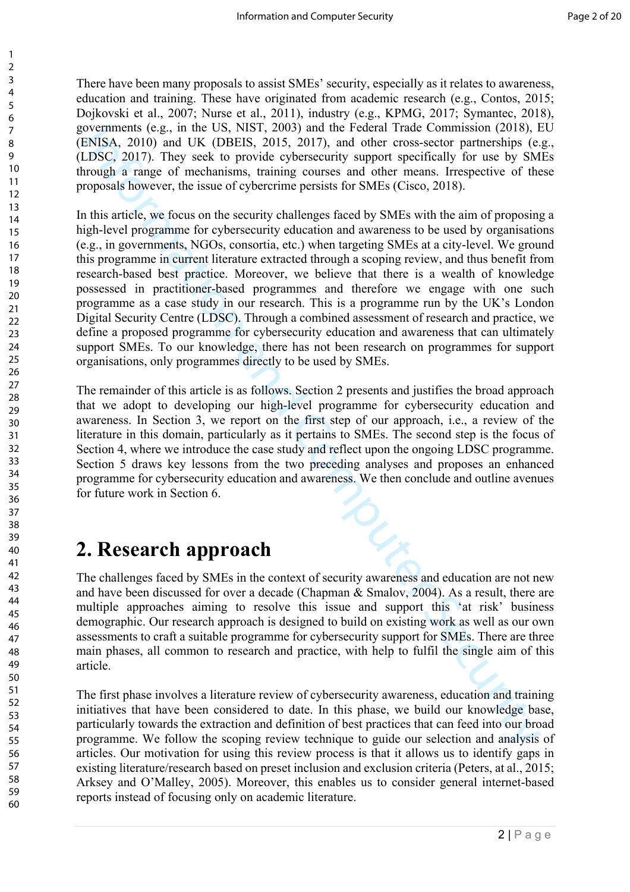There have been many proposals to assist SMEs' security, especially as it relates to awareness, education and training. These have originated from academic research (e.g., Contos, 2015; Dojkovski et al., 2007; Nurse et al., 2011), industry (e.g., KPMG, 2017; Symantec, 2018), governments (e.g., in the US, NIST, 2003) and the Federal Trade Commission (2018), EU (ENISA, 2010) and UK (DBEIS, 2015, 2017), and other cross-sector partnerships (e.g., (LDSC, 2017). They seek to provide cybersecurity support specifically for use by SMEs through a range of mechanisms, training courses and other means. Irrespective of these proposals however, the issue of cybercrime persists for SMEs (Cisco, 2018).

overmansts (e.g., an the US. NISI1, 2003) and the Federal Irade Commussor (2018),<br>CMISA, 2010) and UK (OBEIS, 2015, 2017), and other cross-sector partnerships (c.<br>
DISC, 2011). They seek to provide cybersecurity support sp In this article, we focus on the security challenges faced by SMEs with the aim of proposing a high-level programme for cybersecurity education and awareness to be used by organisations (e.g., in governments, NGOs, consortia, etc.) when targeting SMEs at a city-level. We ground this programme in current literature extracted through a scoping review, and thus benefit from research-based best practice. Moreover, we believe that there is a wealth of knowledge possessed in practitioner-based programmes and therefore we engage with one such programme as a case study in our research. This is a programme run by the UK's London Digital Security Centre (LDSC). Through a combined assessment of research and practice, we define a proposed programme for cybersecurity education and awareness that can ultimately support SMEs. To our knowledge, there has not been research on programmes for support organisations, only programmes directly to be used by SMEs.

The remainder of this article is as follows. Section 2 presents and justifies the broad approach that we adopt to developing our high-level programme for cybersecurity education and awareness. In Section 3, we report on the first step of our approach, i.e., a review of the literature in this domain, particularly as it pertains to SMEs. The second step is the focus of Section 4, where we introduce the case study and reflect upon the ongoing LDSC programme. Section 5 draws key lessons from the two preceding analyses and proposes an enhanced programme for cybersecurity education and awareness. We then conclude and outline avenues for future work in Section 6.

### **2. Research approach**

The challenges faced by SMEs in the context of security awareness and education are not new and have been discussed for over a decade (Chapman & Smalov, 2004). As a result, there are multiple approaches aiming to resolve this issue and support this 'at risk' business demographic. Our research approach is designed to build on existing work as well as our own assessments to craft a suitable programme for cybersecurity support for SMEs. There are three main phases, all common to research and practice, with help to fulfil the single aim of this article.

The first phase involves a literature review of cybersecurity awareness, education and training initiatives that have been considered to date. In this phase, we build our knowledge base, particularly towards the extraction and definition of best practices that can feed into our broad programme. We follow the scoping review technique to guide our selection and analysis of articles. Our motivation for using this review process is that it allows us to identify gaps in existing literature/research based on preset inclusion and exclusion criteria (Peters, at al., 2015; Arksey and O'Malley, 2005). Moreover, this enables us to consider general internet-based reports instead of focusing only on academic literature.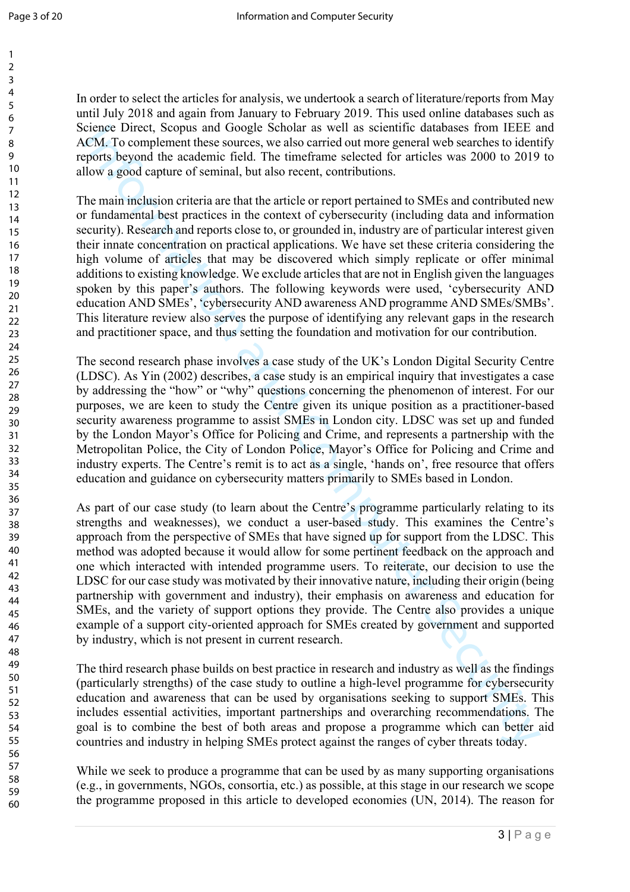In order to select the articles for analysis, we undertook a search of literature/reports from May until July 2018 and again from January to February 2019. This used online databases such as Science Direct, Scopus and Google Scholar as well as scientific databases from IEEE and ACM. To complement these sources, we also carried out more general web searches to identify reports beyond the academic field. The timeframe selected for articles was 2000 to 2019 to allow a good capture of seminal, but also recent, contributions.

ecrose Direct. Soppos and Groogle Selotler as well as socialthe datasas from EEE and Constructions and Complement these sources, we also carried out more general web scarches to ident<br>low a good capture of seminal, but als The main inclusion criteria are that the article or report pertained to SMEs and contributed new or fundamental best practices in the context of cybersecurity (including data and information security). Research and reports close to, or grounded in, industry are of particular interest given their innate concentration on practical applications. We have set these criteria considering the high volume of articles that may be discovered which simply replicate or offer minimal additions to existing knowledge. We exclude articles that are not in English given the languages spoken by this paper's authors. The following keywords were used, 'cybersecurity AND education AND SMEs', 'cybersecurity AND awareness AND programme AND SMEs/SMBs'. This literature review also serves the purpose of identifying any relevant gaps in the research and practitioner space, and thus setting the foundation and motivation for our contribution.

The second research phase involves a case study of the UK's London Digital Security Centre (LDSC). As Yin (2002) describes, a case study is an empirical inquiry that investigates a case by addressing the "how" or "why" questions concerning the phenomenon of interest. For our purposes, we are keen to study the Centre given its unique position as a practitioner-based security awareness programme to assist SMEs in London city. LDSC was set up and funded by the London Mayor's Office for Policing and Crime, and represents a partnership with the Metropolitan Police, the City of London Police, Mayor's Office for Policing and Crime and industry experts. The Centre's remit is to act as a single, 'hands on', free resource that offers education and guidance on cybersecurity matters primarily to SMEs based in London.

As part of our case study (to learn about the Centre's programme particularly relating to its strengths and weaknesses), we conduct a user-based study. This examines the Centre's approach from the perspective of SMEs that have signed up for support from the LDSC. This method was adopted because it would allow for some pertinent feedback on the approach and one which interacted with intended programme users. To reiterate, our decision to use the LDSC for our case study was motivated by their innovative nature, including their origin (being partnership with government and industry), their emphasis on awareness and education for SMEs, and the variety of support options they provide. The Centre also provides a unique example of a support city-oriented approach for SMEs created by government and supported by industry, which is not present in current research.

The third research phase builds on best practice in research and industry as well as the findings (particularly strengths) of the case study to outline a high-level programme for cybersecurity education and awareness that can be used by organisations seeking to support SMEs. This includes essential activities, important partnerships and overarching recommendations. The goal is to combine the best of both areas and propose a programme which can better aid countries and industry in helping SMEs protect against the ranges of cyber threats today.

While we seek to produce a programme that can be used by as many supporting organisations (e.g., in governments, NGOs, consortia, etc.) as possible, at this stage in our research we scope the programme proposed in this article to developed economies (UN, 2014). The reason for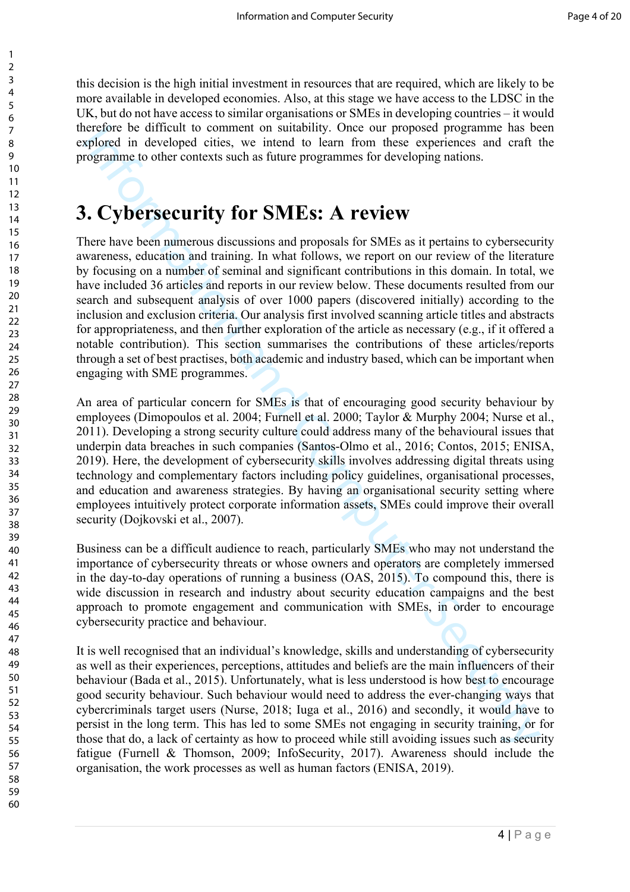this decision is the high initial investment in resources that are required, which are likely to be more available in developed economies. Also, at this stage we have access to the LDSC in the UK, but do not have access to similar organisations or SMEs in developing countries – it would therefore be difficult to comment on suitability. Once our proposed programme has been explored in developed cities, we intend to learn from these experiences and craft the programme to other contexts such as future programmes for developing nations.

### **3. Cybersecurity for SMEs: A review**

recrete be dirital to comment on sunstability. Ones our proposed programme has been are approached in diveloped eities, we inited to learn from these experiences and realt the organizame to other contexts such as future pr There have been numerous discussions and proposals for SMEs as it pertains to cybersecurity awareness, education and training. In what follows, we report on our review of the literature by focusing on a number of seminal and significant contributions in this domain. In total, we have included 36 articles and reports in our review below. These documents resulted from our search and subsequent analysis of over 1000 papers (discovered initially) according to the inclusion and exclusion criteria. Our analysis first involved scanning article titles and abstracts for appropriateness, and then further exploration of the article as necessary (e.g., if it offered a notable contribution). This section summarises the contributions of these articles/reports through a set of best practises, both academic and industry based, which can be important when engaging with SME programmes.

An area of particular concern for SMEs is that of encouraging good security behaviour by employees (Dimopoulos et al. 2004; Furnell et al. 2000; Taylor & Murphy 2004; Nurse et al., 2011). Developing a strong security culture could address many of the behavioural issues that underpin data breaches in such companies (Santos-Olmo et al., 2016; Contos, 2015; ENISA, 2019). Here, the development of cybersecurity skills involves addressing digital threats using technology and complementary factors including policy guidelines, organisational processes, and education and awareness strategies. By having an organisational security setting where employees intuitively protect corporate information assets, SMEs could improve their overall security (Dojkovski et al., 2007).

Business can be a difficult audience to reach, particularly SMEs who may not understand the importance of cybersecurity threats or whose owners and operators are completely immersed in the day-to-day operations of running a business (OAS, 2015). To compound this, there is wide discussion in research and industry about security education campaigns and the best approach to promote engagement and communication with SMEs, in order to encourage cybersecurity practice and behaviour.

It is well recognised that an individual's knowledge, skills and understanding of cybersecurity as well as their experiences, perceptions, attitudes and beliefs are the main influencers of their behaviour (Bada et al., 2015). Unfortunately, what is less understood is how best to encourage good security behaviour. Such behaviour would need to address the ever-changing ways that cybercriminals target users (Nurse, 2018; Iuga et al., 2016) and secondly, it would have to persist in the long term. This has led to some SMEs not engaging in security training, or for those that do, a lack of certainty as how to proceed while still avoiding issues such as security fatigue (Furnell & Thomson, 2009; InfoSecurity, 2017). Awareness should include the organisation, the work processes as well as human factors (ENISA, 2019).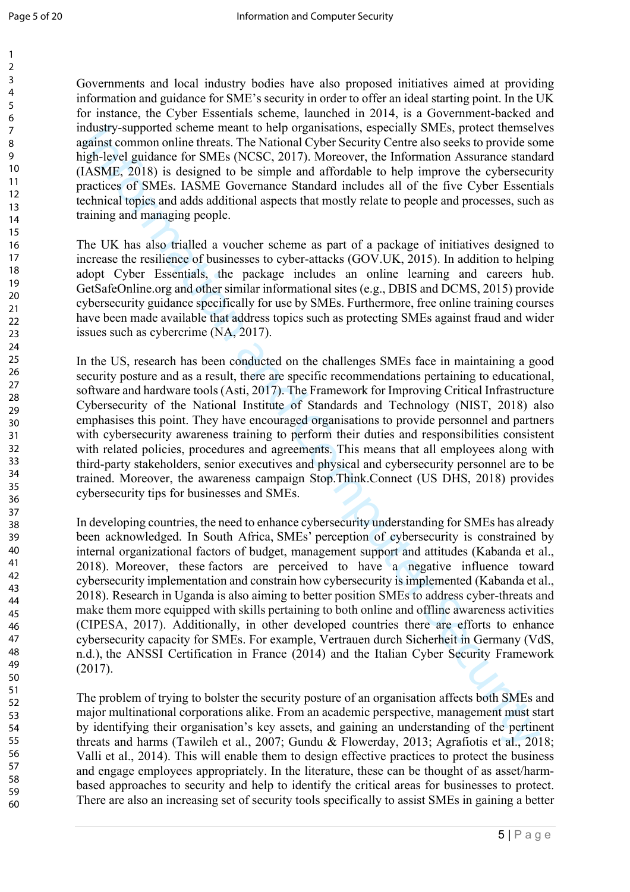60

Governments and local industry bodies have also proposed initiatives aimed at providing information and guidance for SME's security in order to offer an ideal starting point. In the UK for instance, the Cyber Essentials scheme, launched in 2014, is a Government-backed and industry-supported scheme meant to help organisations, especially SMEs, protect themselves against common online threats. The National Cyber Security Centre also seeks to provide some high-level guidance for SMEs (NCSC, 2017). Moreover, the Information Assurance standard (IASME, 2018) is designed to be simple and affordable to help improve the cybersecurity practices of SMEs. IASME Governance Standard includes all of the five Cyber Essentials technical topics and adds additional aspects that mostly relate to people and processes, such as training and managing people.

The UK has also trialled a voucher scheme as part of a package of initiatives designed to increase the resilience of businesses to cyber-attacks (GOV.UK, 2015). In addition to helping adopt Cyber Essentials, the package includes an online learning and careers hub. GetSafeOnline.org and other similar informational sites (e.g., DBIS and DCMS, 2015) provide cybersecurity guidance specifically for use by SMEs. Furthermore, free online training courses have been made available that address topics such as protecting SMEs against fraud and wider issues such as cybercrime (NA, 2017).

In the US, research has been conducted on the challenges SMEs face in maintaining a good security posture and as a result, there are specific recommendations pertaining to educational, software and hardware tools (Asti, 2017). The Framework for Improving Critical Infrastructure Cybersecurity of the National Institute of Standards and Technology (NIST, 2018) also emphasises this point. They have encouraged organisations to provide personnel and partners with cybersecurity awareness training to perform their duties and responsibilities consistent with related policies, procedures and agreements. This means that all employees along with third-party stakeholders, senior executives and physical and cybersecurity personnel are to be trained. Moreover, the awareness campaign Stop.Think.Connect (US DHS, 2018) provides cybersecurity tips for businesses and SMEs.

distantive supported scheme meant to help organisations, especially SMLes, inviewed that<br>and paying sompon online threats. The National Cyber Sceurity Centre also secks to provide songate<br>ight-level guidance for SMEs (NCSC In developing countries, the need to enhance cybersecurity understanding for SMEs has already been acknowledged. In South Africa, SMEs' perception of cybersecurity is constrained by internal organizational factors of budget, management support and attitudes (Kabanda et al., 2018). Moreover, these factors are perceived to have a negative influence toward cybersecurity implementation and constrain how cybersecurity is implemented (Kabanda et al., 2018). Research in Uganda is also aiming to better position SMEs to address cyber-threats and make them more equipped with skills pertaining to both online and offline awareness activities (CIPESA, 2017). Additionally, in other developed countries there are efforts to enhance cybersecurity capacity for SMEs. For example, Vertrauen durch Sicherheit in Germany (VdS, n.d.), the ANSSI Certification in France (2014) and the Italian Cyber Security Framework (2017).

The problem of trying to bolster the security posture of an organisation affects both SMEs and major multinational corporations alike. From an academic perspective, management must start by identifying their organisation's key assets, and gaining an understanding of the pertinent threats and harms (Tawileh et al., 2007; Gundu & Flowerday, 2013; Agrafiotis et al., 2018; Valli et al., 2014). This will enable them to design effective practices to protect the business and engage employees appropriately. In the literature, these can be thought of as asset/harmbased approaches to security and help to identify the critical areas for businesses to protect. There are also an increasing set of security tools specifically to assist SMEs in gaining a better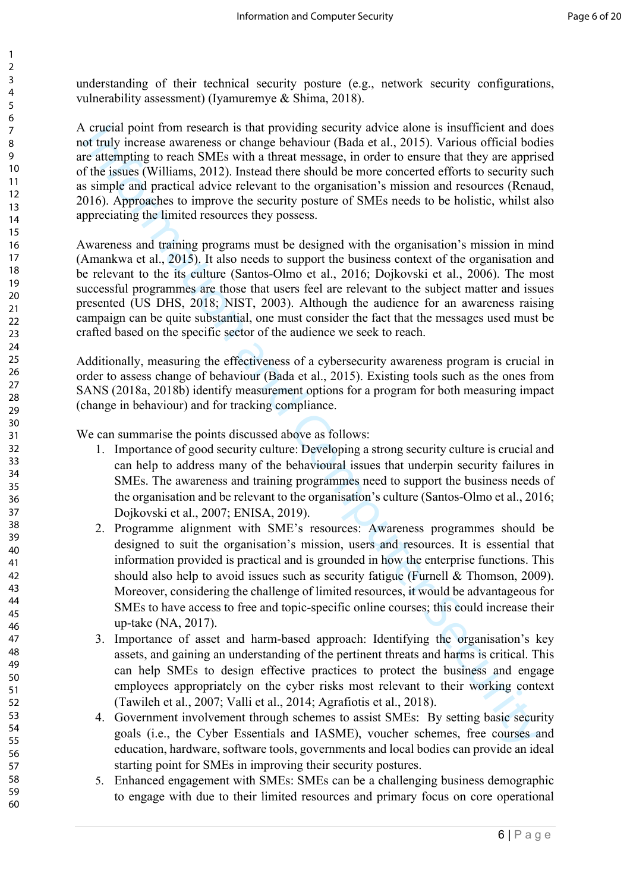understanding of their technical security posture (e.g., network security configurations, vulnerability assessment) (Iyamuremye & Shima, 2018).

A crucial point from research is that providing security advice alone is insufficient and does not truly increase awareness or change behaviour (Bada et al., 2015). Various official bodies are attempting to reach SMEs with a threat message, in order to ensure that they are apprised of the issues (Williams, 2012). Instead there should be more concerted efforts to security such as simple and practical advice relevant to the organisation's mission and resources (Renaud, 2016). Approaches to improve the security posture of SMEs needs to be holistic, whilst also appreciating the limited resources they possess.

Awareness and training programs must be designed with the organisation's mission in mind (Amankwa et al., 2015). It also needs to support the business context of the organisation and be relevant to the its culture (Santos-Olmo et al., 2016; Dojkovski et al., 2006). The most successful programmes are those that users feel are relevant to the subject matter and issues presented (US DHS, 2018; NIST, 2003). Although the audience for an awareness raising campaign can be quite substantial, one must consider the fact that the messages used must be crafted based on the specific sector of the audience we seek to reach.

Additionally, measuring the effectiveness of a cybersecurity awareness program is crucial in order to assess change of behaviour (Bada et al., 2015). Existing tools such as the ones from SANS (2018a, 2018b) identify measurement options for a program for both measuring impact (change in behaviour) and for tracking compliance.

We can summarise the points discussed above as follows:

- 1. Importance of good security culture: Developing a strong security culture is crucial and can help to address many of the behavioural issues that underpin security failures in SMEs. The awareness and training programmes need to support the business needs of the organisation and be relevant to the organisation's culture (Santos-Olmo et al., 2016; Dojkovski et al., 2007; ENISA, 2019).
- crossed paint from rescared is that providing scontity above alone is must<br>then the state and Computer and Computer and Computer and Computer and Computer and Computer and Computer and Computer and Computer and Computer an 2. Programme alignment with SME's resources: Awareness programmes should be designed to suit the organisation's mission, users and resources. It is essential that information provided is practical and is grounded in how the enterprise functions. This should also help to avoid issues such as security fatigue (Furnell & Thomson, 2009). Moreover, considering the challenge of limited resources, it would be advantageous for SMEs to have access to free and topic-specific online courses; this could increase their up-take (NA, 2017).
	- 3. Importance of asset and harm-based approach: Identifying the organisation's key assets, and gaining an understanding of the pertinent threats and harms is critical. This can help SMEs to design effective practices to protect the business and engage employees appropriately on the cyber risks most relevant to their working context (Tawileh et al., 2007; Valli et al., 2014; Agrafiotis et al., 2018).
	- 4. Government involvement through schemes to assist SMEs: By setting basic security goals (i.e., the Cyber Essentials and IASME), voucher schemes, free courses and education, hardware, software tools, governments and local bodies can provide an ideal starting point for SMEs in improving their security postures.
	- 5. Enhanced engagement with SMEs: SMEs can be a challenging business demographic to engage with due to their limited resources and primary focus on core operational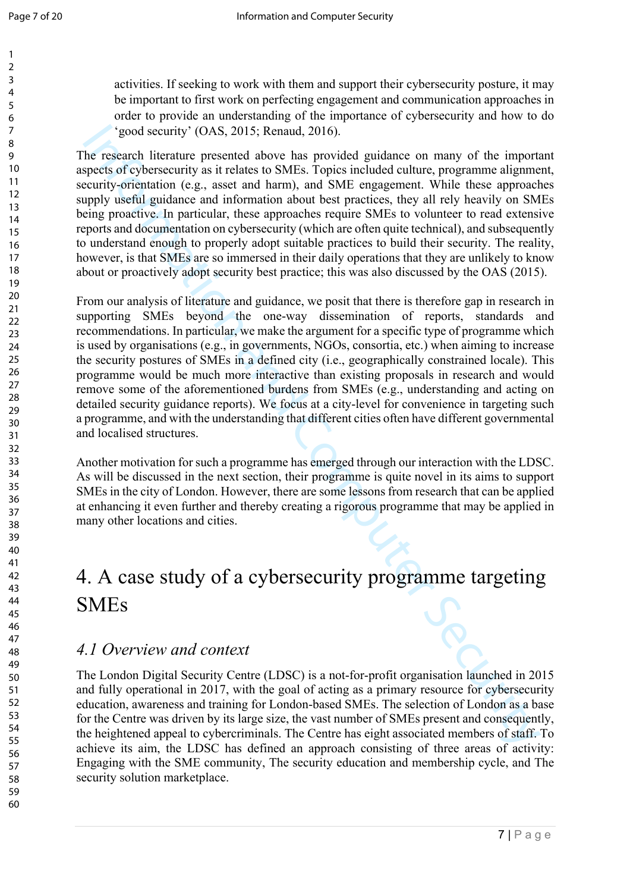activities. If seeking to work with them and support their cybersecurity posture, it may be important to first work on perfecting engagement and communication approaches in order to provide an understanding of the importance of cybersecurity and how to do 'good security' (OAS, 2015; Renaud, 2016).

The research literature presented above has provided guidance on many of the important aspects of cybersecurity as it relates to SMEs. Topics included culture, programme alignment, security-orientation (e.g., asset and harm), and SME engagement. While these approaches supply useful guidance and information about best practices, they all rely heavily on SMEs being proactive. In particular, these approaches require SMEs to volunteer to read extensive reports and documentation on cybersecurity (which are often quite technical), and subsequently to understand enough to properly adopt suitable practices to build their security. The reality, however, is that SMEs are so immersed in their daily operations that they are unlikely to know about or proactively adopt security best practice; this was also discussed by the OAS (2015).

<sup>2</sup> (2005 security' (OAS, 2015; Renaud, 2016).<br>
The research literature presented above has provided guidance on many of the import<br>perset of cybersecurity as it relates to SMEs. Topics included culture, programme alignmen From our analysis of literature and guidance, we posit that there is therefore gap in research in supporting SMEs beyond the one-way dissemination of reports, standards and recommendations. In particular, we make the argument for a specific type of programme which is used by organisations (e.g., in governments, NGOs, consortia, etc.) when aiming to increase the security postures of SMEs in a defined city (i.e., geographically constrained locale). This programme would be much more interactive than existing proposals in research and would remove some of the aforementioned burdens from SMEs (e.g., understanding and acting on detailed security guidance reports). We focus at a city-level for convenience in targeting such a programme, and with the understanding that different cities often have different governmental and localised structures.

Another motivation for such a programme has emerged through our interaction with the LDSC. As will be discussed in the next section, their programme is quite novel in its aims to support SMEs in the city of London. However, there are some lessons from research that can be applied at enhancing it even further and thereby creating a rigorous programme that may be applied in many other locations and cities.

### 4. A case study of a cybersecurity programme targeting SMEs

#### *4.1 Overview and context*

The London Digital Security Centre (LDSC) is a not-for-profit organisation launched in 2015 and fully operational in 2017, with the goal of acting as a primary resource for cybersecurity education, awareness and training for London-based SMEs. The selection of London as a base for the Centre was driven by its large size, the vast number of SMEs present and consequently, the heightened appeal to cybercriminals. The Centre has eight associated members of staff. To achieve its aim, the LDSC has defined an approach consisting of three areas of activity: Engaging with the SME community, The security education and membership cycle, and The security solution marketplace.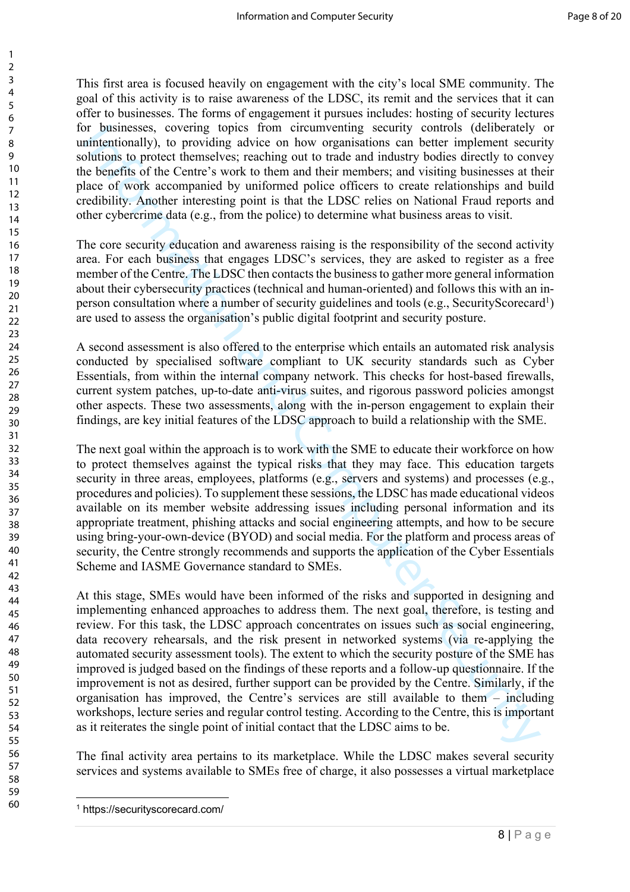This first area is focused heavily on engagement with the city's local SME community. The goal of this activity is to raise awareness of the LDSC, its remit and the services that it can offer to businesses. The forms of engagement it pursues includes: hosting of security lectures for businesses, covering topics from circumventing security controls (deliberately or unintentionally), to providing advice on how organisations can better implement security solutions to protect themselves; reaching out to trade and industry bodies directly to convey the benefits of the Centre's work to them and their members; and visiting businesses at their place of work accompanied by uniformed police officers to create relationships and build credibility. Another interesting point is that the LDSC relies on National Fraud reports and other cybercrime data (e.g., from the police) to determine what business areas to visit.

The core security education and awareness raising is the responsibility of the second activity area. For each business that engages LDSC's services, they are asked to register as a free member of the Centre. The LDSC then contacts the business to gather more general information about their cybersecurity practices (technical and human-oriented) and follows this with an inperson consultation where a number of security guidelines and tools (e.g., SecurityScorecard<sup>1</sup>) are used to assess the organisation's public digital footprint and security posture.

A second assessment is also offered to the enterprise which entails an automated risk analysis conducted by specialised software compliant to UK security standards such as Cyber Essentials, from within the internal company network. This checks for host-based firewalls, current system patches, up-to-date anti-virus suites, and rigorous password policies amongst other aspects. These two assessments, along with the in-person engagement to explain their findings, are key initial features of the LDSC approach to build a relationship with the SME.

The next goal within the approach is to work with the SME to educate their workforce on how to protect themselves against the typical risks that they may face. This education targets security in three areas, employees, platforms (e.g., servers and systems) and processes (e.g., procedures and policies). To supplement these sessions, the LDSC has made educational videos available on its member website addressing issues including personal information and its appropriate treatment, phishing attacks and social engineering attempts, and how to be secure using bring-your-own-device (BYOD) and social media. For the platform and process areas of security, the Centre strongly recommends and supports the application of the Cyber Essentials Scheme and IASME Governance standard to SMEs.

The businesses. Control to the internal scattering scurity controls (dcibibentle)<br>interimendently, to providing advice on how organisations can better implement scent<br>unitsentions to protect themselves; reaching out to rul At this stage, SMEs would have been informed of the risks and supported in designing and implementing enhanced approaches to address them. The next goal, therefore, is testing and review. For this task, the LDSC approach concentrates on issues such as social engineering, data recovery rehearsals, and the risk present in networked systems (via re-applying the automated security assessment tools). The extent to which the security posture of the SME has improved is judged based on the findings of these reports and a follow-up questionnaire. If the improvement is not as desired, further support can be provided by the Centre. Similarly, if the organisation has improved, the Centre's services are still available to them – including workshops, lecture series and regular control testing. According to the Centre, this is important as it reiterates the single point of initial contact that the LDSC aims to be.

The final activity area pertains to its marketplace. While the LDSC makes several security services and systems available to SMEs free of charge, it also possesses a virtual marketplace

 $\overline{a}$ <sup>1</sup> https://securityscorecard.com/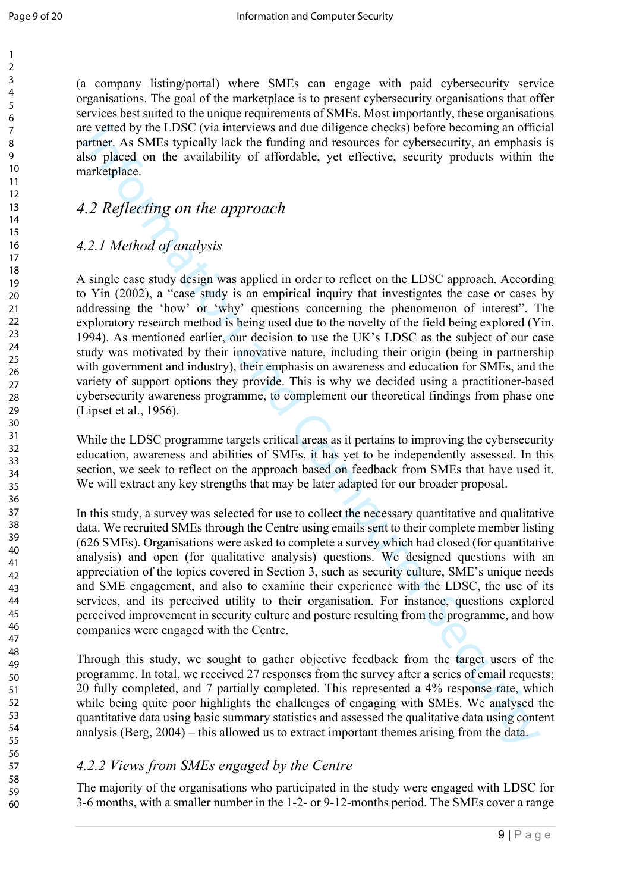(a company listing/portal) where SMEs can engage with paid cybersecurity service organisations. The goal of the marketplace is to present cybersecurity organisations that offer services best suited to the unique requirements of SMEs. Most importantly, these organisations are vetted by the LDSC (via interviews and due diligence checks) before becoming an official partner. As SMEs typically lack the funding and resources for cybersecurity, an emphasis is also placed on the availability of affordable, yet effective, security products within the marketplace.

#### *4.2 Reflecting on the approach*

#### *4.2.1 Method of analysis*

re verted by the LDSC (via nationwal due dilgence checks) before becoming an often<br>biso placed on the analysis of the funding and resources for eybersecurity, an emphasis<br>solicity the term of a diversify of all the funding A single case study design was applied in order to reflect on the LDSC approach. According to Yin (2002), a "case study is an empirical inquiry that investigates the case or cases by addressing the 'how' or 'why' questions concerning the phenomenon of interest". The exploratory research method is being used due to the novelty of the field being explored (Yin, 1994). As mentioned earlier, our decision to use the UK's LDSC as the subject of our case study was motivated by their innovative nature, including their origin (being in partnership with government and industry), their emphasis on awareness and education for SMEs, and the variety of support options they provide. This is why we decided using a practitioner-based cybersecurity awareness programme, to complement our theoretical findings from phase one (Lipset et al., 1956).

While the LDSC programme targets critical areas as it pertains to improving the cybersecurity education, awareness and abilities of SMEs, it has yet to be independently assessed. In this section, we seek to reflect on the approach based on feedback from SMEs that have used it. We will extract any key strengths that may be later adapted for our broader proposal.

In this study, a survey was selected for use to collect the necessary quantitative and qualitative data. We recruited SMEs through the Centre using emails sent to their complete member listing (626 SMEs). Organisations were asked to complete a survey which had closed (for quantitative analysis) and open (for qualitative analysis) questions. We designed questions with an appreciation of the topics covered in Section 3, such as security culture, SME's unique needs and SME engagement, and also to examine their experience with the LDSC, the use of its services, and its perceived utility to their organisation. For instance, questions explored perceived improvement in security culture and posture resulting from the programme, and how companies were engaged with the Centre.

Through this study, we sought to gather objective feedback from the target users of the programme. In total, we received 27 responses from the survey after a series of email requests; 20 fully completed, and 7 partially completed. This represented a 4% response rate, which while being quite poor highlights the challenges of engaging with SMEs. We analysed the quantitative data using basic summary statistics and assessed the qualitative data using content analysis (Berg, 2004) – this allowed us to extract important themes arising from the data.

#### *4.2.2 Views from SMEs engaged by the Centre*

The majority of the organisations who participated in the study were engaged with LDSC for 3-6 months, with a smaller number in the 1-2- or 9-12-months period. The SMEs cover a range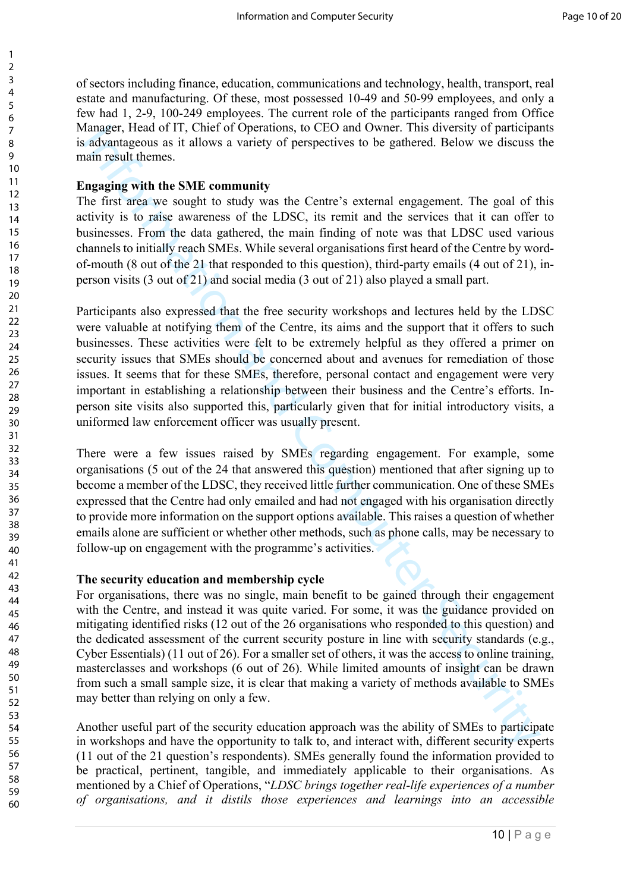of sectors including finance, education, communications and technology, health, transport, real estate and manufacturing. Of these, most possessed 10-49 and 50-99 employees, and only a few had 1, 2-9, 100-249 employees. The current role of the participants ranged from Office Manager, Head of IT, Chief of Operations, to CEO and Owner. This diversity of participants is advantageous as it allows a variety of perspectives to be gathered. Below we discuss the main result themes.

#### **Engaging with the SME community**

The first area we sought to study was the Centre's external engagement. The goal of this activity is to raise awareness of the LDSC, its remit and the services that it can offer to businesses. From the data gathered, the main finding of note was that LDSC used various channels to initially reach SMEs. While several organisations first heard of the Centre by wordof-mouth (8 out of the 21 that responded to this question), third-party emails (4 out of 21), inperson visits (3 out of 21) and social media (3 out of 21) also played a small part.

Imager, Head of II. Chief of Depentuals, to CEO and Owner. This diversion is a submomptony and and mean-<br>
information and Computer is external engagement. The goal of linear<br>
information and II. Chief Operators of the EDS Participants also expressed that the free security workshops and lectures held by the LDSC were valuable at notifying them of the Centre, its aims and the support that it offers to such businesses. These activities were felt to be extremely helpful as they offered a primer on security issues that SMEs should be concerned about and avenues for remediation of those issues. It seems that for these SMEs, therefore, personal contact and engagement were very important in establishing a relationship between their business and the Centre's efforts. Inperson site visits also supported this, particularly given that for initial introductory visits, a uniformed law enforcement officer was usually present.

There were a few issues raised by SMEs regarding engagement. For example, some organisations (5 out of the 24 that answered this question) mentioned that after signing up to become a member of the LDSC, they received little further communication. One of these SMEs expressed that the Centre had only emailed and had not engaged with his organisation directly to provide more information on the support options available. This raises a question of whether emails alone are sufficient or whether other methods, such as phone calls, may be necessary to follow-up on engagement with the programme's activities.

#### **The security education and membership cycle**

For organisations, there was no single, main benefit to be gained through their engagement with the Centre, and instead it was quite varied. For some, it was the guidance provided on mitigating identified risks (12 out of the 26 organisations who responded to this question) and the dedicated assessment of the current security posture in line with security standards (e.g., Cyber Essentials) (11 out of 26). For a smaller set of others, it was the access to online training, masterclasses and workshops (6 out of 26). While limited amounts of insight can be drawn from such a small sample size, it is clear that making a variety of methods available to SMEs may better than relying on only a few.

Another useful part of the security education approach was the ability of SMEs to participate in workshops and have the opportunity to talk to, and interact with, different security experts (11 out of the 21 question's respondents). SMEs generally found the information provided to be practical, pertinent, tangible, and immediately applicable to their organisations. As mentioned by a Chief of Operations, "*LDSC brings together real-life experiences of a number of organisations, and it distils those experiences and learnings into an accessible* 

60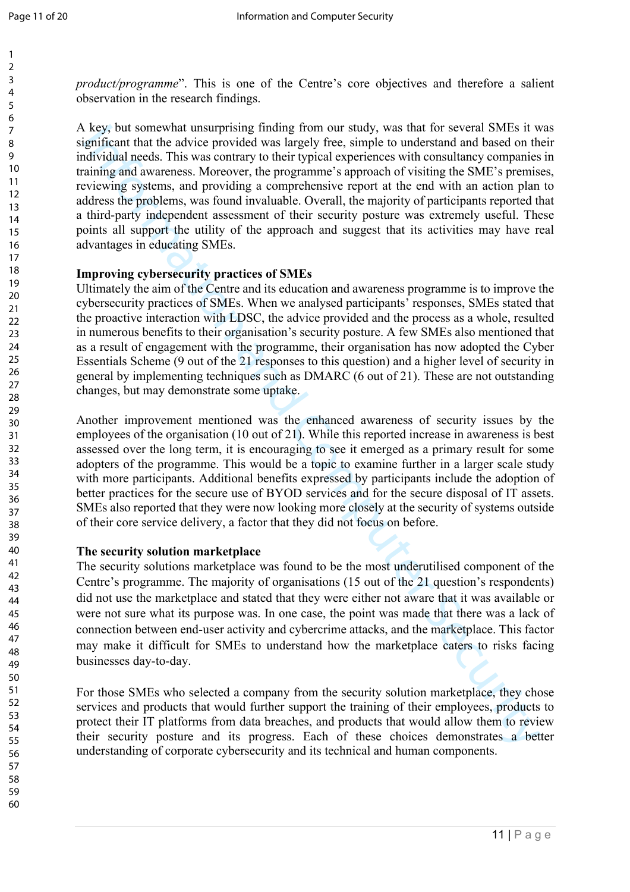*product/programme*". This is one of the Centre's core objectives and therefore a salient observation in the research findings.

key, but somewhat mass may finding from our study, was that for several SMLs is which in<br>distribution and the advice provided was largely free, simple to understand and based on the<br>infusiunal meds. This was contrary to th A key, but somewhat unsurprising finding from our study, was that for several SMEs it was significant that the advice provided was largely free, simple to understand and based on their individual needs. This was contrary to their typical experiences with consultancy companies in training and awareness. Moreover, the programme's approach of visiting the SME's premises, reviewing systems, and providing a comprehensive report at the end with an action plan to address the problems, was found invaluable. Overall, the majority of participants reported that a third-party independent assessment of their security posture was extremely useful. These points all support the utility of the approach and suggest that its activities may have real advantages in educating SMEs.

#### **Improving cybersecurity practices of SMEs**

Ultimately the aim of the Centre and its education and awareness programme is to improve the cybersecurity practices of SMEs. When we analysed participants' responses, SMEs stated that the proactive interaction with LDSC, the advice provided and the process as a whole, resulted in numerous benefits to their organisation's security posture. A few SMEs also mentioned that as a result of engagement with the programme, their organisation has now adopted the Cyber Essentials Scheme (9 out of the 21 responses to this question) and a higher level of security in general by implementing techniques such as DMARC (6 out of 21). These are not outstanding changes, but may demonstrate some uptake.

Another improvement mentioned was the enhanced awareness of security issues by the employees of the organisation (10 out of 21). While this reported increase in awareness is best assessed over the long term, it is encouraging to see it emerged as a primary result for some adopters of the programme. This would be a topic to examine further in a larger scale study with more participants. Additional benefits expressed by participants include the adoption of better practices for the secure use of BYOD services and for the secure disposal of IT assets. SMEs also reported that they were now looking more closely at the security of systems outside of their core service delivery, a factor that they did not focus on before.

#### **The security solution marketplace**

The security solutions marketplace was found to be the most underutilised component of the Centre's programme. The majority of organisations (15 out of the 21 question's respondents) did not use the marketplace and stated that they were either not aware that it was available or were not sure what its purpose was. In one case, the point was made that there was a lack of connection between end-user activity and cybercrime attacks, and the marketplace. This factor may make it difficult for SMEs to understand how the marketplace caters to risks facing businesses day-to-day.

For those SMEs who selected a company from the security solution marketplace, they chose services and products that would further support the training of their employees, products to protect their IT platforms from data breaches, and products that would allow them to review their security posture and its progress. Each of these choices demonstrates a better understanding of corporate cybersecurity and its technical and human components.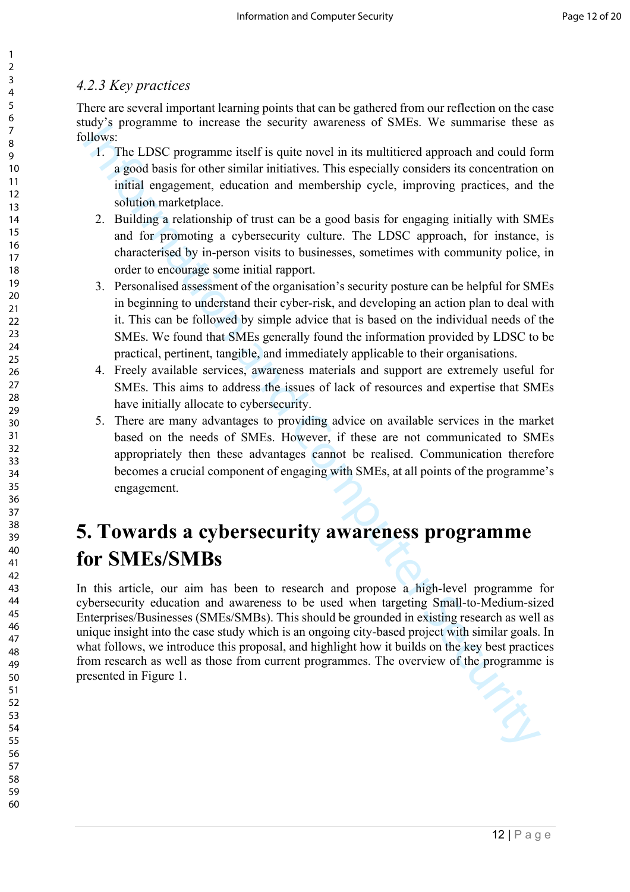#### *4.2.3 Key practices*

There are several important learning points that can be gathered from our reflection on the case study's programme to increase the security awareness of SMEs. We summarise these as follows:

- 1. The LDSC programme itself is quite novel in its multitiered approach and could form a good basis for other similar initiatives. This especially considers its concentration on initial engagement, education and membership cycle, improving practices, and the solution marketplace.
- 2. Building a relationship of trust can be a good basis for engaging initially with SMEs and for promoting a cybersecurity culture. The LDSC approach, for instance, is characterised by in-person visits to businesses, sometimes with community police, in order to encourage some initial rapport.
- 3. Personalised assessment of the organisation's security posture can be helpful for SMEs in beginning to understand their cyber-risk, and developing an action plan to deal with it. This can be followed by simple advice that is based on the individual needs of the SMEs. We found that SMEs generally found the information provided by LDSC to be practical, pertinent, tangible, and immediately applicable to their organisations.
- 4. Freely available services, awareness materials and support are extremely useful for SMEs. This aims to address the issues of lack of resources and expertise that SMEs have initially allocate to cybersecurity.
- 5. There are many advantages to providing advice on available services in the market based on the needs of SMEs. However, if these are not communicated to SMEs appropriately then these advantages cannot be realised. Communication therefore becomes a crucial component of engaging with SMEs, at all points of the programme's engagement.

### **5. Towards a cybersecurity awareness programme for SMEs/SMBs**

The LDSC proparation is the unit of the state of the state of the state of the state of the state of the state of the state of the state of the state of the state of the state of the state of the state of the state of the In this article, our aim has been to research and propose a high-level programme for cybersecurity education and awareness to be used when targeting Small-to-Medium-sized Enterprises/Businesses (SMEs/SMBs). This should be grounded in existing research as well as unique insight into the case study which is an ongoing city-based project with similar goals. In what follows, we introduce this proposal, and highlight how it builds on the key best practices from research as well as those from current programmes. The overview of the programme is presented in Figure 1.

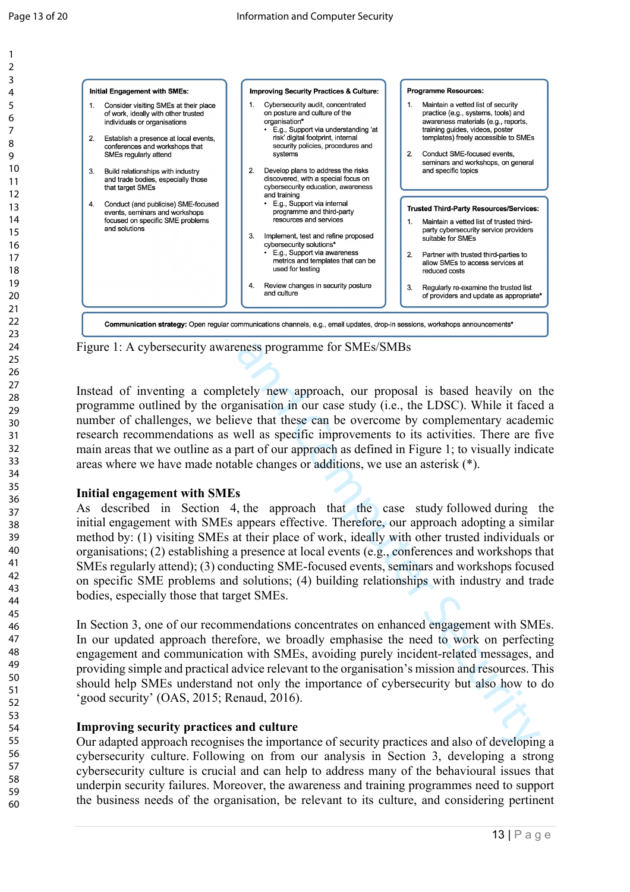

Figure 1: A cybersecurity awareness programme for SMEs/SMBs

Instead of inventing a completely new approach, our proposal is based heavily on the programme outlined by the organisation in our case study (i.e., the LDSC). While it faced a number of challenges, we believe that these can be overcome by complementary academic research recommendations as well as specific improvements to its activities. There are five main areas that we outline as a part of our approach as defined in Figure 1; to visually indicate areas where we have made notable changes or additions, we use an asterisk (\*).

#### **Initial engagement with SMEs**

As described in Section 4, the approach that the case study followed during the initial engagement with SMEs appears effective. Therefore, our approach adopting a similar method by: (1) visiting SMEs at their place of work, ideally with other trusted individuals or organisations; (2) establishing a presence at local events (e.g., conferences and workshops that SMEs regularly attend); (3) conducting SME-focused events, seminars and workshops focused on specific SME problems and solutions; (4) building relationships with industry and trade bodies, especially those that target SMEs.

In Section 3, one of our recommendations concentrates on enhanced engagement with SMEs. In our updated approach therefore, we broadly emphasise the need to work on perfecting engagement and communication with SMEs, avoiding purely incident-related messages, and providing simple and practical advice relevant to the organisation's mission and resources. This should help SMEs understand not only the importance of cybersecurity but also how to do 'good security' (OAS, 2015; Renaud, 2016).

#### **Improving security practices and culture**

Our adapted approach recognises the importance of security practices and also of developing a cybersecurity culture. Following on from our analysis in Section 3, developing a strong cybersecurity culture is crucial and can help to address many of the behavioural issues that underpin security failures. Moreover, the awareness and training programmes need to support the business needs of the organisation, be relevant to its culture, and considering pertinent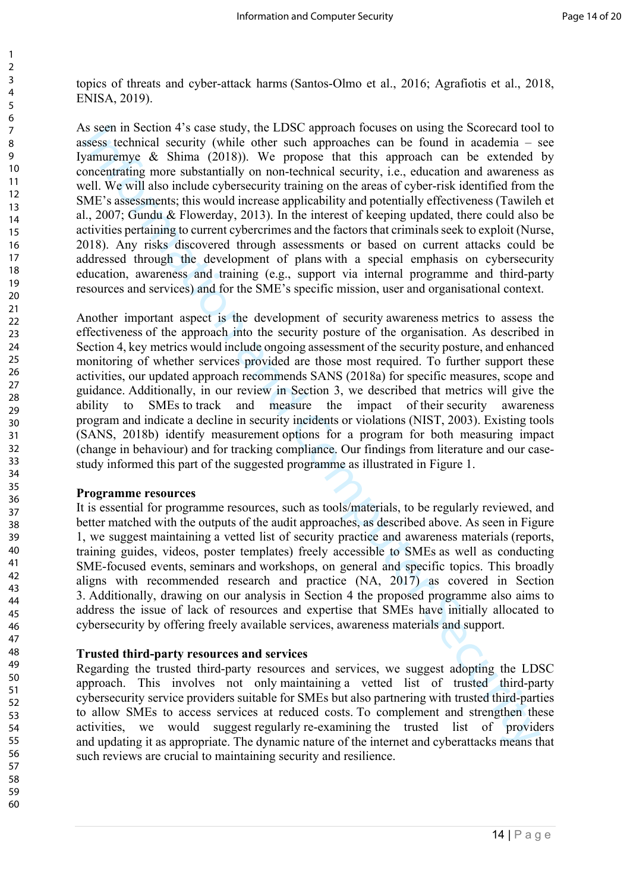topics of threats and cyber-attack harms (Santos-Olmo et al., 2016; Agrafiotis et al., 2018, ENISA, 2019).

is securi in Scenario, the LDSC approach bosines on using the Scorceard tool<br>security (while other such approachs can be found in academia – security (while other such approachs can be found in academia – security (while o As seen in Section 4's case study, the LDSC approach focuses on using the Scorecard tool to assess technical security (while other such approaches can be found in academia – see Iyamuremye & Shima (2018)). We propose that this approach can be extended by concentrating more substantially on non-technical security, i.e., education and awareness as well. We will also include cybersecurity training on the areas of cyber-risk identified from the SME's assessments; this would increase applicability and potentially effectiveness (Tawileh et al., 2007; Gundu & Flowerday, 2013). In the interest of keeping updated, there could also be activities pertaining to current cybercrimes and the factors that criminals seek to exploit (Nurse, 2018). Any risks discovered through assessments or based on current attacks could be addressed through the development of plans with a special emphasis on cybersecurity education, awareness and training (e.g., support via internal programme and third-party resources and services) and for the SME's specific mission, user and organisational context.

Another important aspect is the development of security awareness metrics to assess the effectiveness of the approach into the security posture of the organisation. As described in Section 4, key metrics would include ongoing assessment of the security posture, and enhanced monitoring of whether services provided are those most required. To further support these activities, our updated approach recommends SANS (2018a) for specific measures, scope and guidance. Additionally, in our review in Section 3, we described that metrics will give the ability to SMEs to track and measure the impact of their security awareness program and indicate a decline in security incidents or violations (NIST, 2003). Existing tools (SANS, 2018b) identify measurement options for a program for both measuring impact (change in behaviour) and for tracking compliance. Our findings from literature and our casestudy informed this part of the suggested programme as illustrated in Figure 1.

#### **Programme resources**

It is essential for programme resources, such as tools/materials, to be regularly reviewed, and better matched with the outputs of the audit approaches, as described above. As seen in Figure 1, we suggest maintaining a vetted list of security practice and awareness materials (reports, training guides, videos, poster templates) freely accessible to SMEs as well as conducting SME-focused events, seminars and workshops, on general and specific topics. This broadly aligns with recommended research and practice (NA, 2017) as covered in Section 3. Additionally, drawing on our analysis in Section 4 the proposed programme also aims to address the issue of lack of resources and expertise that SMEs have initially allocated to cybersecurity by offering freely available services, awareness materials and support.

#### **Trusted third-party resources and services**

Regarding the trusted third-party resources and services, we suggest adopting the LDSC approach. This involves not only maintaining a vetted list of trusted third-party cybersecurity service providers suitable for SMEs but also partnering with trusted third-parties to allow SMEs to access services at reduced costs. To complement and strengthen these activities, we would suggest regularly re-examining the trusted list of providers and updating it as appropriate. The dynamic nature of the internet and cyberattacks means that such reviews are crucial to maintaining security and resilience.

60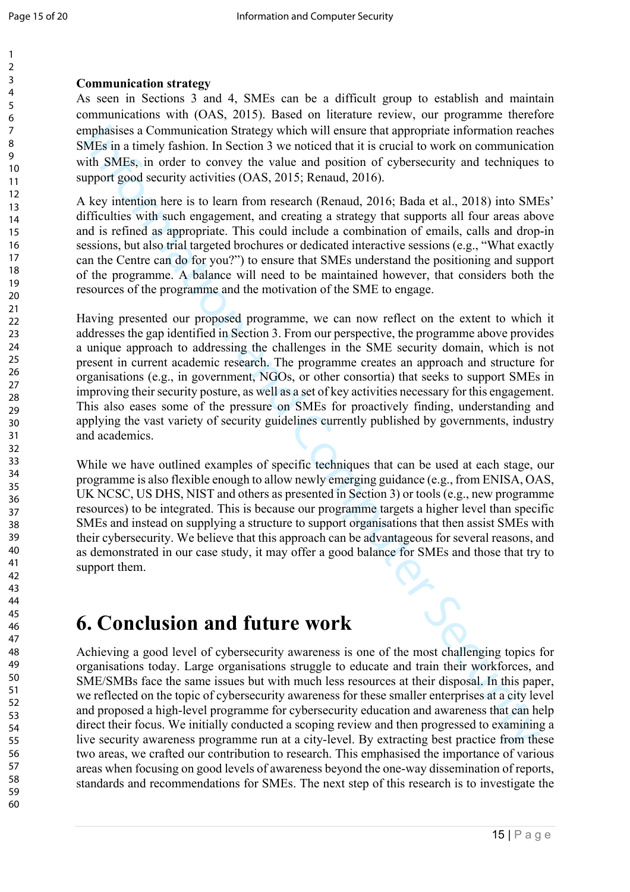#### **Communication strategy**

As seen in Sections 3 and 4, SMEs can be a difficult group to establish and maintain communications with (OAS, 2015). Based on literature review, our programme therefore emphasises a Communication Strategy which will ensure that appropriate information reaches SMEs in a timely fashion. In Section 3 we noticed that it is crucial to work on communication with SMEs, in order to convey the value and position of cybersecurity and techniques to support good security activities (OAS, 2015; Renaud, 2016).

A key intention here is to learn from research (Renaud, 2016; Bada et al., 2018) into SMEs' difficulties with such engagement, and creating a strategy that supports all four areas above and is refined as appropriate. This could include a combination of emails, calls and drop-in sessions, but also trial targeted brochures or dedicated interactive sessions (e.g., "What exactly can the Centre can do for you?") to ensure that SMEs understand the positioning and support of the programme. A balance will need to be maintained however, that considers both the resources of the programme and the motivation of the SME to engage.

mphasises a Communication Strategy which will ensure that appropriate information reach<br>MEs in a timely fashion. In Section 3 we noticed that it is crucial to work on communicat<br>ith SMEs, in order to convey the value and Having presented our proposed programme, we can now reflect on the extent to which it addresses the gap identified in Section 3. From our perspective, the programme above provides a unique approach to addressing the challenges in the SME security domain, which is not present in current academic research. The programme creates an approach and structure for organisations (e.g., in government, NGOs, or other consortia) that seeks to support SMEs in improving their security posture, as well as a set of key activities necessary for this engagement. This also eases some of the pressure on SMEs for proactively finding, understanding and applying the vast variety of security guidelines currently published by governments, industry and academics.

While we have outlined examples of specific techniques that can be used at each stage, our programme is also flexible enough to allow newly emerging guidance (e.g., from ENISA, OAS, UK NCSC, US DHS, NIST and others as presented in Section 3) or tools (e.g., new programme resources) to be integrated. This is because our programme targets a higher level than specific SMEs and instead on supplying a structure to support organisations that then assist SMEs with their cybersecurity. We believe that this approach can be advantageous for several reasons, and as demonstrated in our case study, it may offer a good balance for SMEs and those that try to support them.

### **6. Conclusion and future work**

Achieving a good level of cybersecurity awareness is one of the most challenging topics for organisations today. Large organisations struggle to educate and train their workforces, and SME/SMBs face the same issues but with much less resources at their disposal. In this paper, we reflected on the topic of cybersecurity awareness for these smaller enterprises at a city level and proposed a high-level programme for cybersecurity education and awareness that can help direct their focus. We initially conducted a scoping review and then progressed to examining a live security awareness programme run at a city-level. By extracting best practice from these two areas, we crafted our contribution to research. This emphasised the importance of various areas when focusing on good levels of awareness beyond the one-way dissemination of reports, standards and recommendations for SMEs. The next step of this research is to investigate the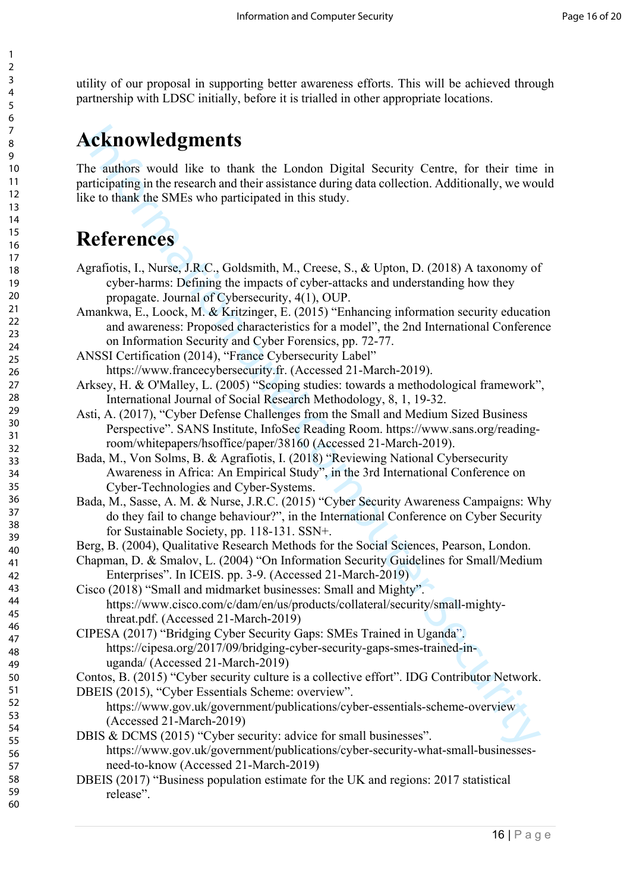utility of our proposal in supporting better awareness efforts. This will be achieved through partnership with LDSC initially, before it is trialled in other appropriate locations.

### **Acknowledgments**

The authors would like to thank the London Digital Security Centre, for their time in participating in the research and their assistance during data collection. Additionally, we would like to thank the SMEs who participated in this study.

### **References**

- **Acknowledgments**<br>
he authors would like to thank the London Digital Security Centre, for their time<br>
articlynamity the research and their assistance during data collection. Additionally, we were<br> **References**<br> **Reference** Agrafiotis, I., Nurse, J.R.C., Goldsmith, M., Creese, S., & Upton, D. (2018) A taxonomy of cyber-harms: Defining the impacts of cyber-attacks and understanding how they propagate. Journal of Cybersecurity, 4(1), OUP.
- Amankwa, E., Loock, M. & Kritzinger, E. (2015) "Enhancing information security education and awareness: Proposed characteristics for a model", the 2nd International Conference on Information Security and Cyber Forensics, pp. 72-77.
- ANSSI Certification (2014), "France Cybersecurity Label" https://www.francecybersecurity.fr. (Accessed 21-March-2019).
- Arksey, H. & O'Malley, L. (2005) "Scoping studies: towards a methodological framework", International Journal of Social Research Methodology, 8, 1, 19-32.
- Asti, A. (2017), "Cyber Defense Challenges from the Small and Medium Sized Business Perspective". SANS Institute, InfoSec Reading Room. https://www.sans.org/readingroom/whitepapers/hsoffice/paper/38160 (Accessed 21-March-2019).
- Bada, M., Von Solms, B. & Agrafiotis, I. (2018) "Reviewing National Cybersecurity Awareness in Africa: An Empirical Study", in the 3rd International Conference on Cyber-Technologies and Cyber-Systems.
- Bada, M., Sasse, A. M. & Nurse, J.R.C. (2015) "Cyber Security Awareness Campaigns: Why do they fail to change behaviour?", in the International Conference on Cyber Security for Sustainable Society, pp. 118-131. SSN+.
- Berg, B. (2004), Qualitative Research Methods for the Social Sciences, Pearson, London.
- Chapman, D. & Smalov, L. (2004) "On Information Security Guidelines for Small/Medium Enterprises". In ICEIS. pp. 3-9. (Accessed 21-March-2019)
- Cisco (2018) "Small and midmarket businesses: Small and Mighty". https://www.cisco.com/c/dam/en/us/products/collateral/security/small-mightythreat.pdf. (Accessed 21-March-2019)
- CIPESA (2017) "Bridging Cyber Security Gaps: SMEs Trained in Uganda". https://cipesa.org/2017/09/bridging-cyber-security-gaps-smes-trained-inuganda/ (Accessed 21-March-2019)
- Contos, B. (2015) "Cyber security culture is a collective effort". IDG Contributor Network.

DBEIS (2015), "Cyber Essentials Scheme: overview".

- https://www.gov.uk/government/publications/cyber-essentials-scheme-overview (Accessed 21-March-2019)
- DBIS & DCMS (2015) "Cyber security: advice for small businesses". https://www.gov.uk/government/publications/cyber-security-what-small-businessesneed-to-know (Accessed 21-March-2019)
- DBEIS (2017) "Business population estimate for the UK and regions: 2017 statistical release".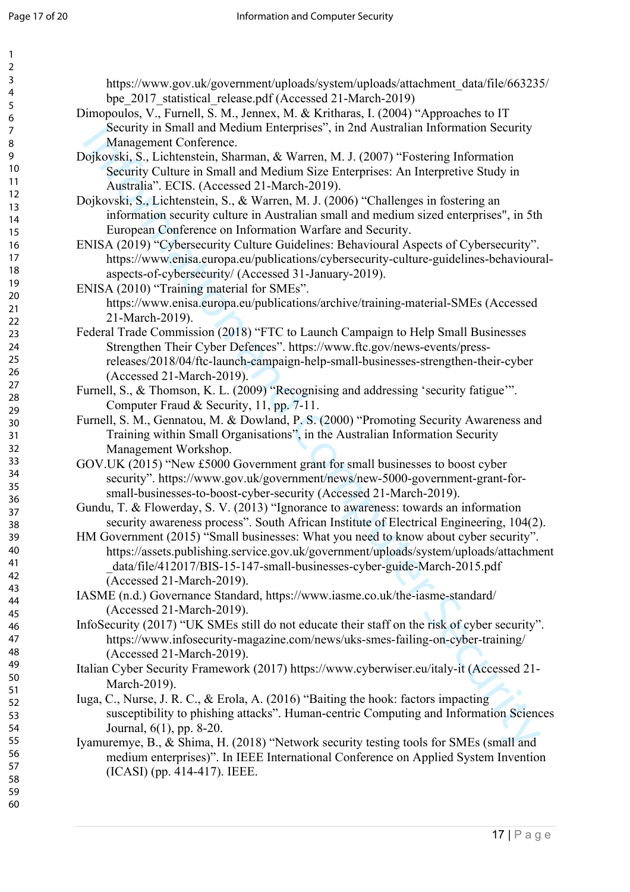| $\overline{ }$                    |  |
|-----------------------------------|--|
| ś                                 |  |
|                                   |  |
|                                   |  |
|                                   |  |
|                                   |  |
|                                   |  |
|                                   |  |
|                                   |  |
|                                   |  |
|                                   |  |
|                                   |  |
|                                   |  |
|                                   |  |
|                                   |  |
|                                   |  |
|                                   |  |
|                                   |  |
|                                   |  |
|                                   |  |
|                                   |  |
|                                   |  |
|                                   |  |
|                                   |  |
|                                   |  |
|                                   |  |
| 456789111111111122222222223?      |  |
|                                   |  |
|                                   |  |
|                                   |  |
|                                   |  |
|                                   |  |
|                                   |  |
|                                   |  |
|                                   |  |
|                                   |  |
| -<br>31                           |  |
| 32<br>33<br>34<br>35              |  |
|                                   |  |
|                                   |  |
|                                   |  |
|                                   |  |
| 36<br>37<br>38                    |  |
|                                   |  |
|                                   |  |
| 39                                |  |
| 40                                |  |
|                                   |  |
| 41                                |  |
| $\ddot{ }$<br>,                   |  |
| 43                                |  |
| 44                                |  |
|                                   |  |
| 45                                |  |
| 46                                |  |
| 4                                 |  |
| 48                                |  |
| 49                                |  |
|                                   |  |
| 50                                |  |
| 51                                |  |
| 5.<br>2                           |  |
| C<br>$\overline{\mathbf{5}}$      |  |
| C                                 |  |
| $\frac{1}{2}$                     |  |
| C<br>55                           |  |
| C<br>56                           |  |
| C<br>57                           |  |
| C                                 |  |
| $\overline{\mathbf{5}}$           |  |
| ľ<br>$\overline{\mathbf{S}}$<br>ļ |  |

60

https://www.gov.uk/government/uploads/system/uploads/attachment\_data/file/663235/ bpe 2017 statistical release.pdf (Accessed 21-March-2019)

- Dimopoulos, V., Furnell, S. M., Jennex, M. & Kritharas, I. (2004) "Approaches to IT Security in Small and Medium Enterprises", in 2nd Australian Information Security Management Conference.
- Dojkovski, S., Lichtenstein, Sharman, & Warren, M. J. (2007) "Fostering Information Security Culture in Small and Medium Size Enterprises: An Interpretive Study in Australia". ECIS. (Accessed 21-March-2019).
- Dojkovski, S., Lichtenstein, S., & Warren, M. J. (2006) "Challenges in fostering an information security culture in Australian small and medium sized enterprises", in 5th European Conference on Information Warfare and Security.
- ENISA (2019) "Cybersecurity Culture Guidelines: Behavioural Aspects of Cybersecurity". https://www.enisa.europa.eu/publications/cybersecurity-culture-guidelines-behaviouralaspects-of-cybersecurity/ (Accessed 31-January-2019).
- ENISA (2010) "Training material for SMEs". https://www.enisa.europa.eu/publications/archive/training-material-SMEs (Accessed 21-March-2019).
- Security unital and Medium Interprises", in 2tid Australian Information Security<br>
Management Conference.<br>
Management Conference.<br>
Security Gluestian: Sharen, M. J. (2007) "Fostering information<br>
Facturity Fig. (Accessed 21 Federal Trade Commission (2018) "FTC to Launch Campaign to Help Small Businesses Strengthen Their Cyber Defences". https://www.ftc.gov/news-events/pressreleases/2018/04/ftc-launch-campaign-help-small-businesses-strengthen-their-cyber (Accessed 21-March-2019).
- Furnell, S., & Thomson, K. L. (2009) "Recognising and addressing 'security fatigue'". Computer Fraud & Security, 11, pp. 7-11.
- Furnell, S. M., Gennatou, M. & Dowland, P. S. (2000) "Promoting Security Awareness and Training within Small Organisations", in the Australian Information Security Management Workshop.
- GOV.UK (2015) "New £5000 Government grant for small businesses to boost cyber security". https://www.gov.uk/government/news/new-5000-government-grant-forsmall-businesses-to-boost-cyber-security (Accessed 21-March-2019).
- Gundu, T. & Flowerday, S. V. (2013) "Ignorance to awareness: towards an information security awareness process". South African Institute of Electrical Engineering, 104(2).
- HM Government (2015) "Small businesses: What you need to know about cyber security". https://assets.publishing.service.gov.uk/government/uploads/system/uploads/attachment \_data/file/412017/BIS-15-147-small-businesses-cyber-guide-March-2015.pdf (Accessed 21-March-2019).
- IASME (n.d.) Governance Standard, https://www.iasme.co.uk/the-iasme-standard/ (Accessed 21-March-2019).
- InfoSecurity (2017) "UK SMEs still do not educate their staff on the risk of cyber security". https://www.infosecurity-magazine.com/news/uks-smes-failing-on-cyber-training/ (Accessed 21-March-2019).
- Italian Cyber Security Framework (2017) https://www.cyberwiser.eu/italy-it (Accessed 21- March-2019).
- Iuga, C., Nurse, J. R. C., & Erola, A. (2016) "Baiting the hook: factors impacting susceptibility to phishing attacks". Human-centric Computing and Information Sciences Journal, 6(1), pp. 8-20.
- Iyamuremye, B., & Shima, H. (2018) "Network security testing tools for SMEs (small and medium enterprises)". In IEEE International Conference on Applied System Invention (ICASI) (pp. 414-417). IEEE.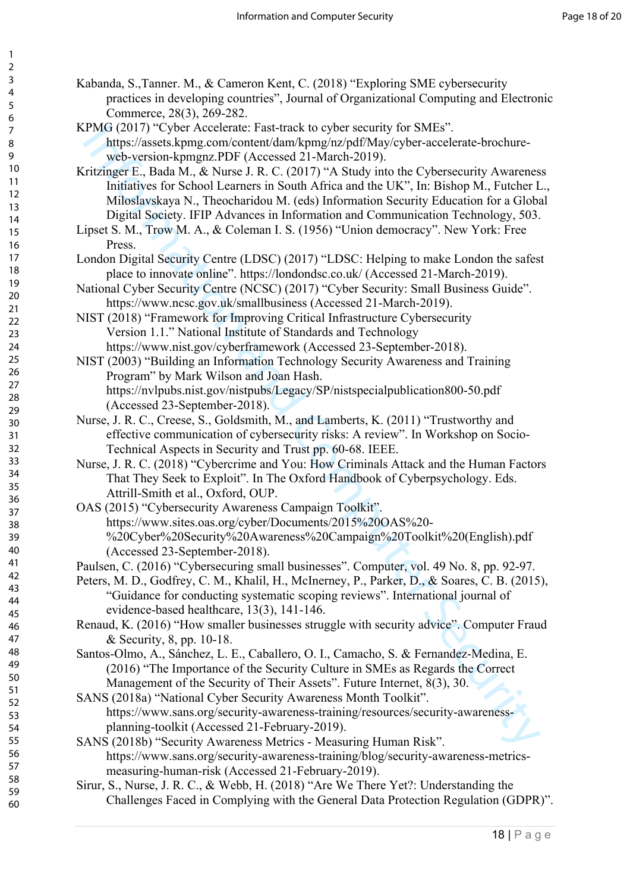Kabanda, S.,Tanner. M., & Cameron Kent, C. (2018) "Exploring SME cybersecurity practices in developing countries", Journal of Organizational Computing and Electronic Commerce, 28(3), 269-282.

KPMG (2017) "Cyber Accelerate: Fast-track to cyber security for SMEs". https://assets.kpmg.com/content/dam/kpmg/nz/pdf/May/cyber-accelerate-brochureweb-version-kpmgnz.PDF (Accessed 21-March-2019).

- PAGC (2013)<sup>-</sup>7-Spec. Accelerate: Fast-frack to syber security for SMLs"<br>(28)(2013)<sup>-7</sup>-Spec. Accelerate-Borekurity (Mayicyber-reacclerate-broekurity<br>forms)-(Dictions (2019)<sup>-1</sup>-A Eucky (Mayicyber-reacclerate-broekurity<br>fu Kritzinger E., Bada M., & Nurse J. R. C. (2017) "A Study into the Cybersecurity Awareness Initiatives for School Learners in South Africa and the UK", In: Bishop M., Futcher L., Miloslavskaya N., Theocharidou M. (eds) Information Security Education for a Global Digital Society. IFIP Advances in Information and Communication Technology, 503.
- Lipset S. M., Trow M. A., & Coleman I. S. (1956) "Union democracy". New York: Free Press.
- London Digital Security Centre (LDSC) (2017) "LDSC: Helping to make London the safest place to innovate online". https://londondsc.co.uk/ (Accessed 21-March-2019).
- National Cyber Security Centre (NCSC) (2017) "Cyber Security: Small Business Guide". https://www.ncsc.gov.uk/smallbusiness (Accessed 21-March-2019).
- NIST (2018) "Framework for Improving Critical Infrastructure Cybersecurity Version 1.1." National Institute of Standards and Technology https://www.nist.gov/cyberframework (Accessed 23-September-2018).
- NIST (2003) "Building an Information Technology Security Awareness and Training Program" by Mark Wilson and Joan Hash. https://nvlpubs.nist.gov/nistpubs/Legacy/SP/nistspecialpublication800-50.pdf (Accessed 23-September-2018).
- Nurse, J. R. C., Creese, S., Goldsmith, M., and Lamberts, K. (2011) "Trustworthy and effective communication of cybersecurity risks: A review". In Workshop on Socio-Technical Aspects in Security and Trust pp. 60-68. IEEE.
- Nurse, J. R. C. (2018) "Cybercrime and You: How Criminals Attack and the Human Factors That They Seek to Exploit". In The Oxford Handbook of Cyberpsychology. Eds. Attrill-Smith et al., Oxford, OUP.
- OAS (2015) "Cybersecurity Awareness Campaign Toolkit". https://www.sites.oas.org/cyber/Documents/2015%20OAS%20- %20Cyber%20Security%20Awareness%20Campaign%20Toolkit%20(English).pdf (Accessed 23-September-2018).
- Paulsen, C. (2016) "Cybersecuring small businesses". Computer, vol. 49 No. 8, pp. 92-97.
- Peters, M. D., Godfrey, C. M., Khalil, H., McInerney, P., Parker, D., & Soares, C. B. (2015), "Guidance for conducting systematic scoping reviews". International journal of evidence-based healthcare, 13(3), 141-146.
- Renaud, K. (2016) "How smaller businesses struggle with security advice". Computer Fraud & Security, 8, pp. 10-18.
- Santos-Olmo, A., Sánchez, L. E., Caballero, O. I., Camacho, S. & Fernandez-Medina, E. (2016) "The Importance of the Security Culture in SMEs as Regards the Correct Management of the Security of Their Assets". Future Internet, 8(3), 30.
- SANS (2018a) "National Cyber Security Awareness Month Toolkit". https://www.sans.org/security-awareness-training/resources/security-awarenessplanning-toolkit (Accessed 21-February-2019).
- SANS (2018b) "Security Awareness Metrics Measuring Human Risk". https://www.sans.org/security-awareness-training/blog/security-awareness-metricsmeasuring-human-risk (Accessed 21-February-2019).
- Sirur, S., Nurse, J. R. C., & Webb, H. (2018) "Are We There Yet?: Understanding the Challenges Faced in Complying with the General Data Protection Regulation (GDPR)".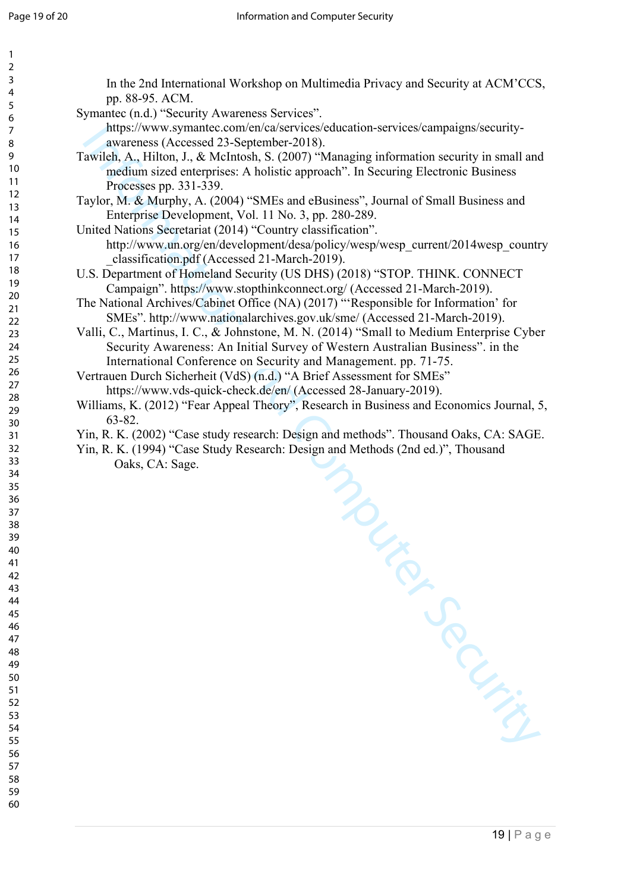| $\mathbf{1}$ |                                                                                            |
|--------------|--------------------------------------------------------------------------------------------|
| 2            |                                                                                            |
| 3            | In the 2nd International Workshop on Multimedia Privacy and Security at ACM'CCS,           |
| 4            | pp. 88-95. ACM.                                                                            |
| 5            | Symantec (n.d.) "Security Awareness Services".                                             |
| 6            |                                                                                            |
| 7            | https://www.symantec.com/en/ca/services/education-services/campaigns/security-             |
| 8            | awareness (Accessed 23-September-2018).                                                    |
| 9            | Tawileh, A., Hilton, J., & McIntosh, S. (2007) "Managing information security in small and |
| 10           | medium sized enterprises: A holistic approach". In Securing Electronic Business            |
| 11           | Processes pp. 331-339.                                                                     |
| 12           | Taylor, M. & Murphy, A. (2004) "SMEs and eBusiness", Journal of Small Business and         |
| 13           | Enterprise Development, Vol. 11 No. 3, pp. 280-289.                                        |
| 14           | United Nations Secretariat (2014) "Country classification".                                |
| 15           |                                                                                            |
| 16           | http://www.un.org/en/development/desa/policy/wesp/wesp_current/2014wesp_country            |
| 17           | classification.pdf (Accessed 21-March-2019).                                               |
| 18           | U.S. Department of Homeland Security (US DHS) (2018) "STOP. THINK. CONNECT                 |
| 19           | Campaign". https://www.stopthinkconnect.org/ (Accessed 21-March-2019).                     |
| 20<br>21     | The National Archives/Cabinet Office (NA) (2017) "'Responsible for Information' for        |
| 22           | SMEs". http://www.nationalarchives.gov.uk/sme/ (Accessed 21-March-2019).                   |
| 23           | Valli, C., Martinus, I. C., & Johnstone, M. N. (2014) "Small to Medium Enterprise Cyber    |
| 24           | Security Awareness: An Initial Survey of Western Australian Business". in the              |
| 25           |                                                                                            |
| 26           | International Conference on Security and Management. pp. 71-75.                            |
| 27           | Vertrauen Durch Sicherheit (VdS) (n.d.) "A Brief Assessment for SMEs"                      |
| 28           | https://www.vds-quick-check.de/en/ (Accessed 28-January-2019).                             |
| 29           | Williams, K. (2012) "Fear Appeal Theory", Research in Business and Economics Journal, 5,   |
| 30           | 63-82.                                                                                     |
| 31           | Yin, R. K. (2002) "Case study research: Design and methods". Thousand Oaks, CA: SAGE.      |
| 32           | Yin, R. K. (1994) "Case Study Research: Design and Methods (2nd ed.)", Thousand            |
| 33           | Oaks, CA: Sage.                                                                            |
| 34           |                                                                                            |
| 35           |                                                                                            |
| 36           |                                                                                            |
| 37           |                                                                                            |
| 38           |                                                                                            |
| 39           |                                                                                            |
| 40           |                                                                                            |
| 41           |                                                                                            |
| 42           |                                                                                            |
| 43           |                                                                                            |
| 44           |                                                                                            |
| 45           |                                                                                            |
| 46           |                                                                                            |
| 47           |                                                                                            |
| 48<br>49     |                                                                                            |
| 50           |                                                                                            |
| 51           |                                                                                            |
| 52           |                                                                                            |
| 53           |                                                                                            |
| 54           |                                                                                            |
| 55           |                                                                                            |
| 56           |                                                                                            |